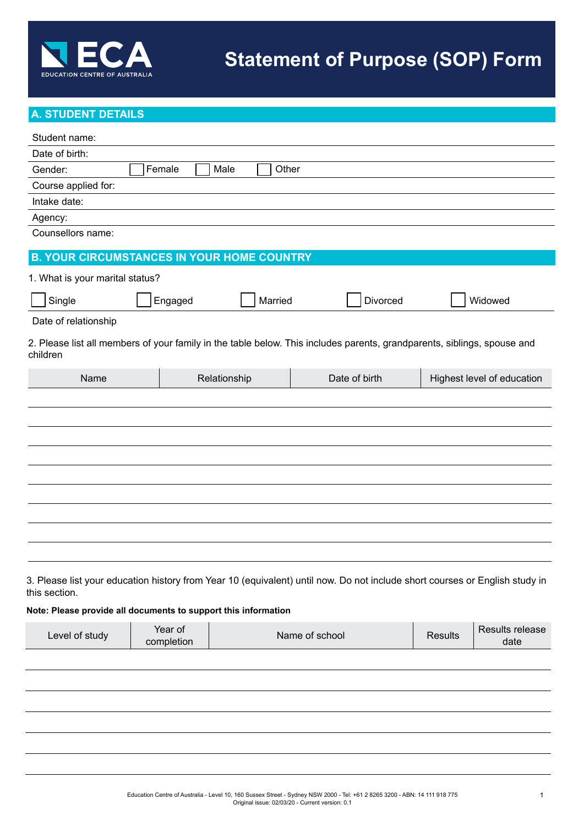

# **A. STUDENT DETAILS**

| Student name:                                                                   |                       |               |                                                                                                                             |                |                            |
|---------------------------------------------------------------------------------|-----------------------|---------------|-----------------------------------------------------------------------------------------------------------------------------|----------------|----------------------------|
| Date of birth:                                                                  |                       |               |                                                                                                                             |                |                            |
| Gender:                                                                         | Female                | Male<br>Other |                                                                                                                             |                |                            |
| Course applied for:                                                             |                       |               |                                                                                                                             |                |                            |
| Intake date:                                                                    |                       |               |                                                                                                                             |                |                            |
| Agency:                                                                         |                       |               |                                                                                                                             |                |                            |
| Counsellors name:                                                               |                       |               |                                                                                                                             |                |                            |
| <b>B. YOUR CIRCUMSTANCES IN YOUR HOME COUNTRY</b>                               |                       |               |                                                                                                                             |                |                            |
| 1. What is your marital status?                                                 |                       |               |                                                                                                                             |                |                            |
| Single                                                                          | Engaged               | Married       | Divorced                                                                                                                    |                | Widowed                    |
| Date of relationship                                                            |                       |               |                                                                                                                             |                |                            |
| children                                                                        |                       |               | 2. Please list all members of your family in the table below. This includes parents, grandparents, siblings, spouse and     |                |                            |
| Name                                                                            |                       | Relationship  | Date of birth                                                                                                               |                | Highest level of education |
|                                                                                 |                       |               |                                                                                                                             |                |                            |
| this section.<br>Note: Please provide all documents to support this information |                       |               | 3. Please list your education history from Year 10 (equivalent) until now. Do not include short courses or English study in |                |                            |
| Level of study                                                                  | Year of<br>completion |               | Name of school                                                                                                              | <b>Results</b> | Results release<br>date    |
|                                                                                 |                       |               |                                                                                                                             |                |                            |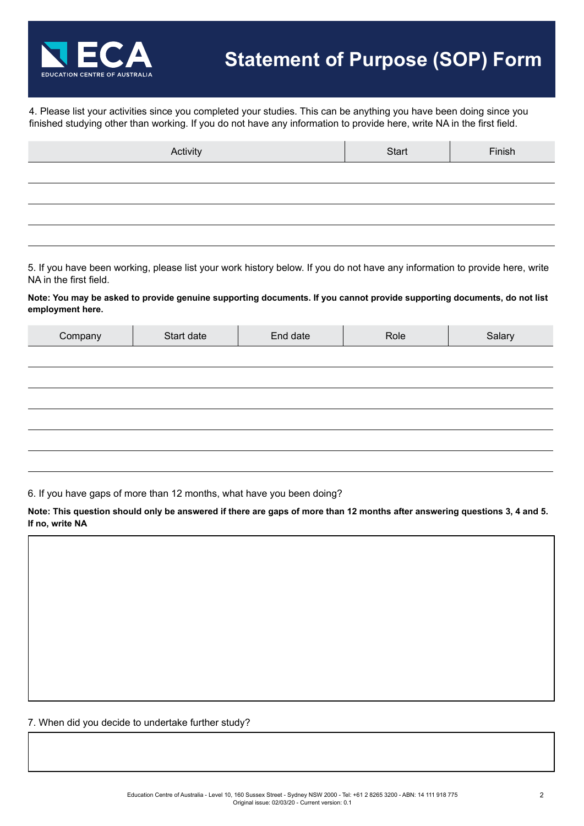

4. Please list your activities since you completed your studies. This can be anything you have been doing since you finished studying other than working. If you do not have any information to provide here, write NA in the first field.

| Activity | Start | Finish |
|----------|-------|--------|
|          |       |        |
|          |       |        |
|          |       |        |
|          |       |        |

5. If you have been working, please list your work history below. If you do not have any information to provide here, write NA in the first field.

**Note: You may be asked to provide genuine supporting documents. If you cannot provide supporting documents, do not list employment here.**

| Company | Start date | End date | Role | Salary |
|---------|------------|----------|------|--------|
|         |            |          |      |        |
|         |            |          |      |        |
|         |            |          |      |        |
|         |            |          |      |        |
|         |            |          |      |        |
|         |            |          |      |        |

6. If you have gaps of more than 12 months, what have you been doing?

**Note: This question should only be answered if there are gaps of more than 12 months after answering questions 3, 4 and 5. If no, write NA**

7. When did you decide to undertake further study?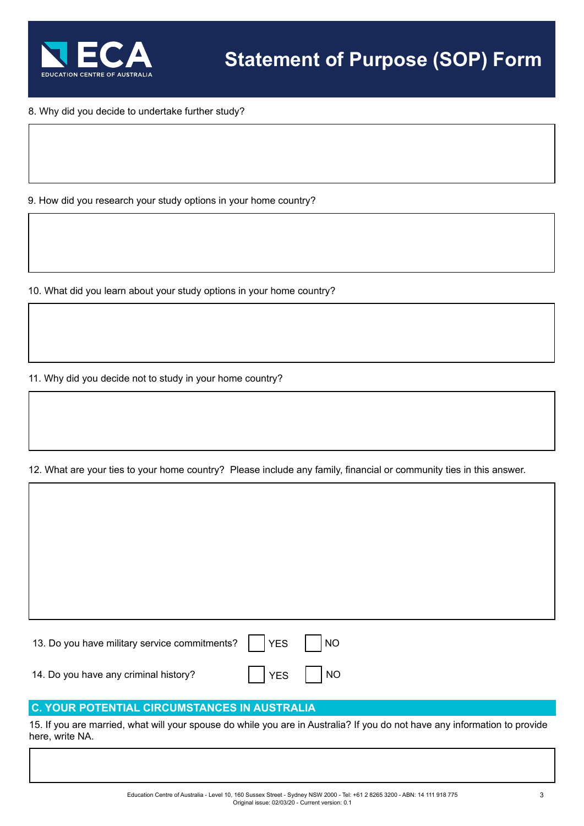

8. Why did you decide to undertake further study?

9. How did you research your study options in your home country?

10. What did you learn about your study options in your home country?

11. Why did you decide not to study in your home country?

12. What are your ties to your home country? Please include any family, financial or community ties in this answer.

13. Do you have military service commitments?  $\begin{array}{|c|c|c|c|c|c|c|c|c|} \hline \end{array}$  NO 14. Do you have any criminal history?  $\blacksquare$  | YES | | NO

# **C. YOUR POTENTIAL CIRCUMSTANCES IN AUSTRALIA**

15. If you are married, what will your spouse do while you are in Australia? If you do not have any information to provide here, write NA.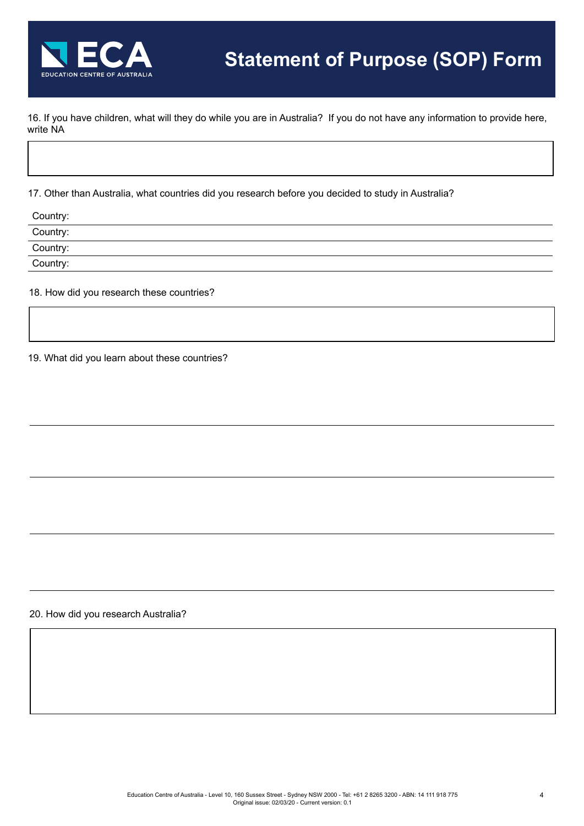

16. If you have children, what will they do while you are in Australia? If you do not have any information to provide here, write NA

17. Other than Australia, what countries did you research before you decided to study in Australia?

| Country:                                                                                                                                                                                                                                                                                                                                                                                                                                                  |  |
|-----------------------------------------------------------------------------------------------------------------------------------------------------------------------------------------------------------------------------------------------------------------------------------------------------------------------------------------------------------------------------------------------------------------------------------------------------------|--|
| Country:<br>$\frac{1}{1} \left( \frac{1}{1} \right)^{2} \left( \frac{1}{1} \right)^{2} \left( \frac{1}{1} \right)^{2} \left( \frac{1}{1} \right)^{2} \left( \frac{1}{1} \right)^{2} \left( \frac{1}{1} \right)^{2} \left( \frac{1}{1} \right)^{2} \left( \frac{1}{1} \right)^{2} \left( \frac{1}{1} \right)^{2} \left( \frac{1}{1} \right)^{2} \left( \frac{1}{1} \right)^{2} \left( \frac{1}{1} \right)^{2} \left( \frac{1}{1} \right)^{2} \left( \frac$ |  |
| Country:                                                                                                                                                                                                                                                                                                                                                                                                                                                  |  |
| Country:                                                                                                                                                                                                                                                                                                                                                                                                                                                  |  |
|                                                                                                                                                                                                                                                                                                                                                                                                                                                           |  |

18. How did you research these countries?

19. What did you learn about these countries?

20. How did you research Australia?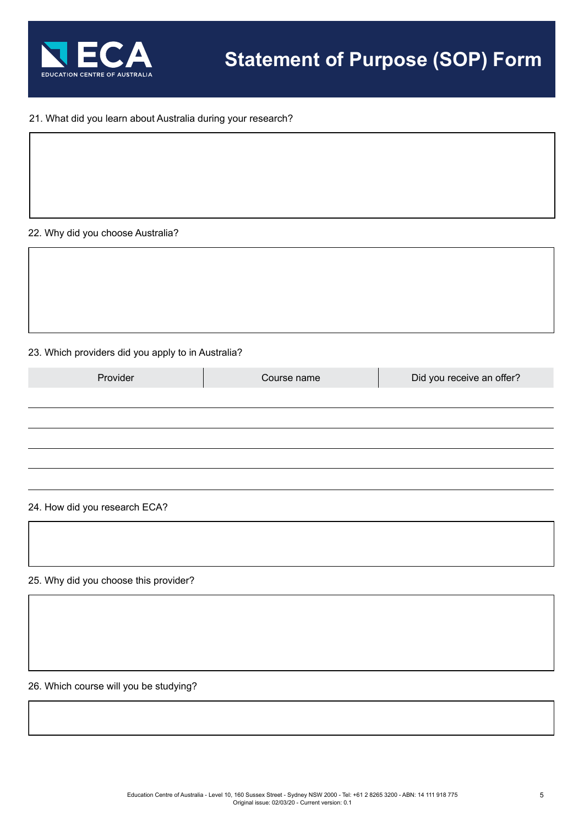

## 21. What did you learn about Australia during your research?

### 22. Why did you choose Australia?

### 23. Which providers did you apply to in Australia?

| Provider | Course name | Did you receive an offer? |
|----------|-------------|---------------------------|
|          |             |                           |
|          |             |                           |
|          |             |                           |
|          |             |                           |
|          |             |                           |

### 24. How did you research ECA?

25. Why did you choose this provider?

26. Which course will you be studying?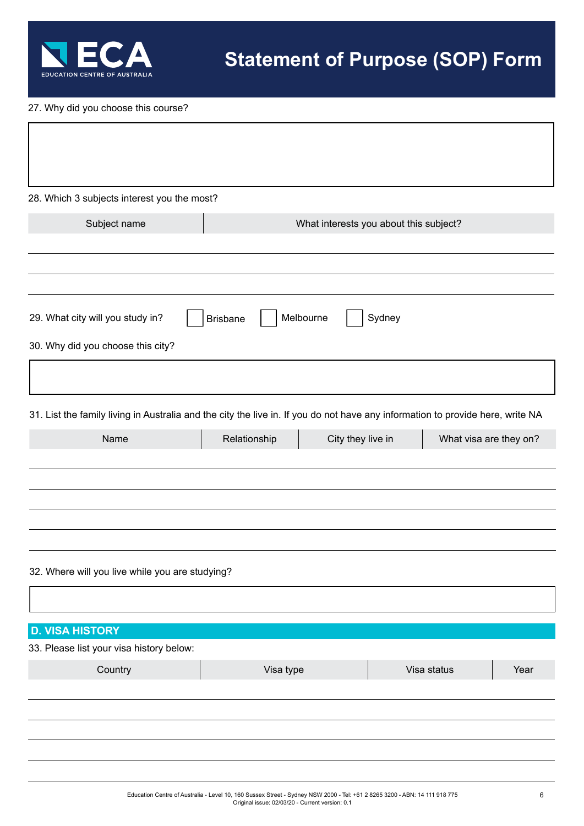

27. Why did you choose this course?

| 28. Which 3 subjects interest you the most?                                                                                    |                 |                                        |                        |      |
|--------------------------------------------------------------------------------------------------------------------------------|-----------------|----------------------------------------|------------------------|------|
| Subject name                                                                                                                   |                 | What interests you about this subject? |                        |      |
|                                                                                                                                |                 |                                        |                        |      |
| 29. What city will you study in?                                                                                               | <b>Brisbane</b> | Melbourne<br>Sydney                    |                        |      |
| 30. Why did you choose this city?                                                                                              |                 |                                        |                        |      |
| 31. List the family living in Australia and the city the live in. If you do not have any information to provide here, write NA |                 |                                        |                        |      |
| Name                                                                                                                           | Relationship    | City they live in                      | What visa are they on? |      |
|                                                                                                                                |                 |                                        |                        |      |
| 32. Where will you live while you are studying?                                                                                |                 |                                        |                        |      |
|                                                                                                                                |                 |                                        |                        |      |
| <b>D. VISA HISTORY</b><br>33. Please list your visa history below:                                                             |                 |                                        |                        |      |
| Country                                                                                                                        | Visa type       |                                        | Visa status            | Year |
|                                                                                                                                |                 |                                        |                        |      |
|                                                                                                                                |                 |                                        |                        |      |
|                                                                                                                                |                 |                                        |                        |      |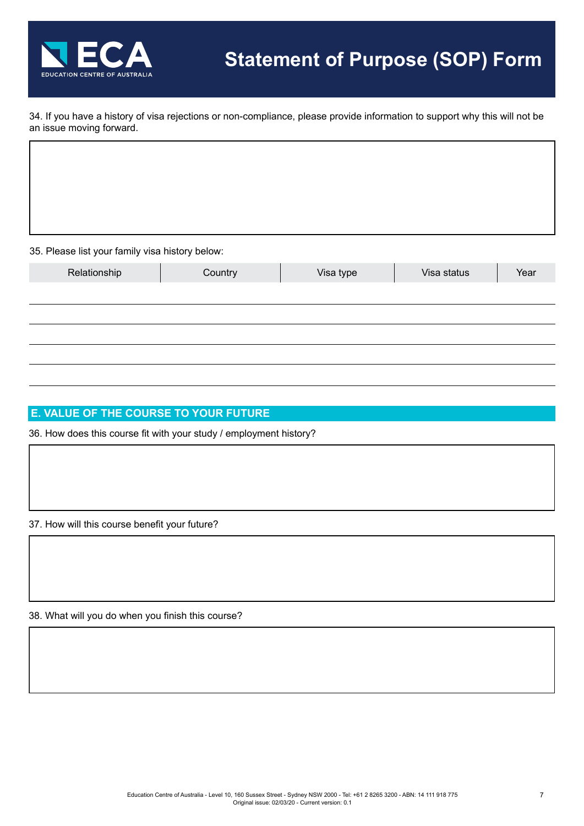

34. If you have a history of visa rejections or non-compliance, please provide information to support why this will not be an issue moving forward.

35. Please list your family visa history below:

| $\overline{\phantom{a}}$<br>$\sim$ $\sim$ $\sim$ | . .     |           |             |      |
|--------------------------------------------------|---------|-----------|-------------|------|
| Relationship                                     | Country | Visa type | Visa status | Year |
|                                                  |         |           |             |      |
|                                                  |         |           |             |      |
|                                                  |         |           |             |      |
|                                                  |         |           |             |      |
|                                                  |         |           |             |      |

## **E. VALUE OF THE COURSE TO YOUR FUTURE**

36. How does this course fit with your study / employment history?

37. How will this course benefit your future?

38. What will you do when you finish this course?